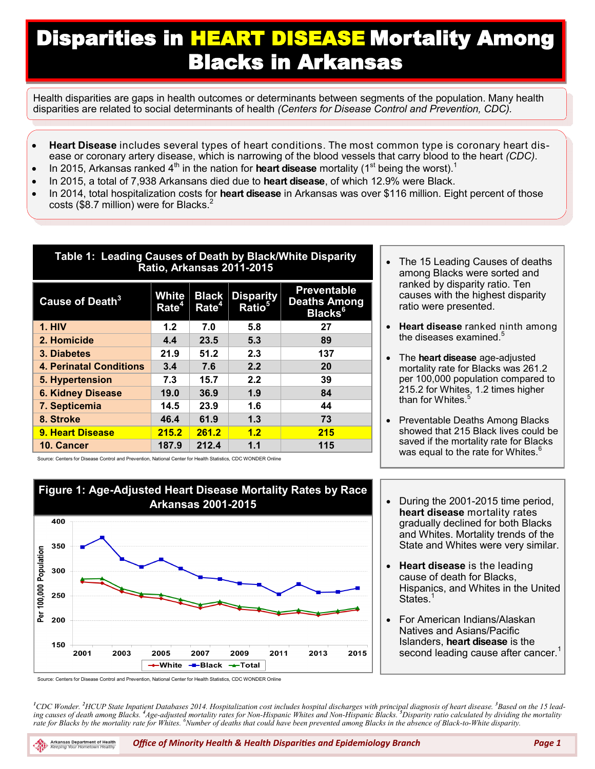## Disparities in HEART DISEASE Mortality Among Blacks in Arkansas

Health disparities are gaps in health outcomes or determinants between segments of the population. Many health disparities are related to social determinants of health *(Centers for Disease Control and Prevention, CDC).*

- **Heart Disease** includes several types of heart conditions. The most common type is coronary heart disease or coronary artery disease, which is narrowing of the blood vessels that carry blood to the heart *(CDC)*.
- $\bullet$  In 2015, Arkansas ranked 4<sup>th</sup> in the nation for **heart disease** mortality (1<sup>st</sup> being the worst).<sup>1</sup>
- In 2015, a total of 7,938 Arkansans died due to **heart disease**, of which 12.9% were Black.
- In 2014, total hospitalization costs for **heart disease** in Arkansas was over \$116 million. Eight percent of those costs (\$8.7 million) were for Blacks.<sup>2</sup>

| Table 1: Leading Causes of Death by Black/White Disparity<br><b>Ratio, Arkansas 2011-2015</b> |                            |                                   |                                        |                                                                  |  |  |
|-----------------------------------------------------------------------------------------------|----------------------------|-----------------------------------|----------------------------------------|------------------------------------------------------------------|--|--|
| Cause of Death $^3$                                                                           | White<br>Rate <sup>4</sup> | <b>Black</b><br>$\mathsf{Rate}^4$ | <b>Disparity</b><br>Ratio <sup>5</sup> | <b>Preventable</b><br><b>Deaths Among</b><br>Blacks <sup>6</sup> |  |  |
| <b>1. HIV</b>                                                                                 | 1.2                        | 7.0                               | 5.8                                    | 27                                                               |  |  |
| 2. Homicide                                                                                   | 4.4                        | 23.5                              | 5.3                                    | 89                                                               |  |  |
| 3. Diabetes                                                                                   | 21.9                       | 51.2                              | 2.3                                    | 137                                                              |  |  |
| <b>4. Perinatal Conditions</b>                                                                | 3.4                        | 7.6                               | 2.2                                    | 20                                                               |  |  |
| 5. Hypertension                                                                               | 7.3                        | 15.7                              | 2.2                                    | 39                                                               |  |  |
| <b>6. Kidney Disease</b>                                                                      | 19.0                       | 36.9                              | 1.9                                    | 84                                                               |  |  |
| 7. Septicemia                                                                                 | 14.5                       | 23.9                              | 1.6                                    | 44                                                               |  |  |
| 8. Stroke                                                                                     | 46.4                       | 61.9                              | 1.3                                    | 73                                                               |  |  |
| 9. Heart Disease                                                                              | 215.2                      | 261.2                             | 1.2                                    | 215                                                              |  |  |
| 10. Cancer                                                                                    | 187.9                      | 212.4                             | 1.1                                    | 115                                                              |  |  |

Source: Centers for Disease Control and Prevention, National Center for Health Statistics, CDC WONDER Online



• During the 2001-2015 time period, **heart disease** mortality rates gradually declined for both Blacks and Whites. Mortality trends of the State and Whites were very similar.

 Preventable Deaths Among Blacks showed that 215 Black lives could be saved if the mortality rate for Blacks was equal to the rate for Whites.

 The 15 Leading Causes of deaths among Blacks were sorted and ranked by disparity ratio. Ten causes with the highest disparity

**Heart disease** ranked ninth among

 The **heart disease** age-adjusted mortality rate for Blacks was 261.2 per 100,000 population compared to 215.2 for Whites, 1.2 times higher

ratio were presented.

the diseases examined.<sup>5</sup>

than for Whites.<sup>5</sup>

- **Heart disease** is the leading cause of death for Blacks, Hispanics, and Whites in the United States.<sup>1</sup>
- For American Indians/Alaskan Natives and Asians/Pacific Islanders, **heart disease** is the second leading cause after cancer.<sup>1</sup>

Source: Centers for Disease Control and Prevention, National Center for Health Statistics, CDC WONDER Online

*<sup>1</sup>CDC Wonder. <sup>2</sup>HCUP State Inpatient Databases 2014. Hospitalization cost includes hospital discharges with principal diagnosis of heart disease. <sup>3</sup>Based on the 15 lead*ing causes of death among Blacks. <sup>4</sup>Age-adjusted mortality rates for Non-Hispanic Whites and Non-Hispanic Blacks. <sup>5</sup>Disparity ratio calculated by dividing the mortality *rate for Blacks by the mortality rate for Whites. <sup>6</sup>Number of deaths that could have been prevented among Blacks in the absence of Black-to-White disparity.*